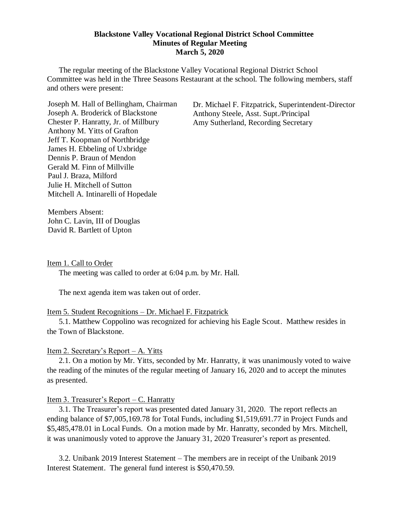#### **Blackstone Valley Vocational Regional District School Committee Minutes of Regular Meeting March 5, 2020**

The regular meeting of the Blackstone Valley Vocational Regional District School Committee was held in the Three Seasons Restaurant at the school. The following members, staff and others were present:

Joseph M. Hall of Bellingham, Chairman Joseph A. Broderick of Blackstone Chester P. Hanratty, Jr. of Millbury Anthony M. Yitts of Grafton Jeff T. Koopman of Northbridge James H. Ebbeling of Uxbridge Dennis P. Braun of Mendon Gerald M. Finn of Millville Paul J. Braza, Milford Julie H. Mitchell of Sutton Mitchell A. Intinarelli of Hopedale

Dr. Michael F. Fitzpatrick, Superintendent-Director Anthony Steele, Asst. Supt./Principal Amy Sutherland, Recording Secretary

Members Absent: John C. Lavin, III of Douglas David R. Bartlett of Upton

Item 1. Call to Order

The meeting was called to order at 6:04 p.m. by Mr. Hall.

The next agenda item was taken out of order.

#### Item 5. Student Recognitions – Dr. Michael F. Fitzpatrick

5.1. Matthew Coppolino was recognized for achieving his Eagle Scout. Matthew resides in the Town of Blackstone.

### Item 2. Secretary's Report – A. Yitts

2.1. On a motion by Mr. Yitts, seconded by Mr. Hanratty, it was unanimously voted to waive the reading of the minutes of the regular meeting of January 16, 2020 and to accept the minutes as presented.

### Item 3. Treasurer's Report – C. Hanratty

3.1. The Treasurer's report was presented dated January 31, 2020. The report reflects an ending balance of \$7,005,169.78 for Total Funds, including \$1,519,691.77 in Project Funds and \$5,485,478.01 in Local Funds. On a motion made by Mr. Hanratty, seconded by Mrs. Mitchell, it was unanimously voted to approve the January 31, 2020 Treasurer's report as presented.

3.2. Unibank 2019 Interest Statement – The members are in receipt of the Unibank 2019 Interest Statement. The general fund interest is \$50,470.59.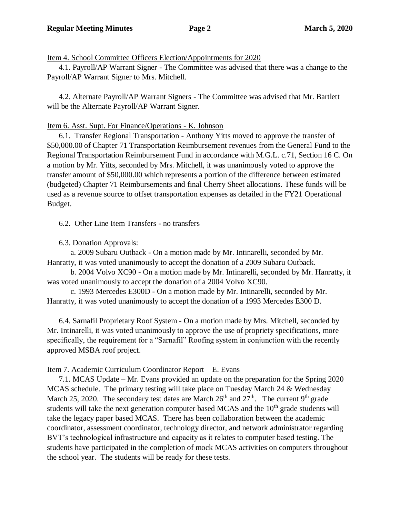Item 4. School Committee Officers Election/Appointments for 2020

4.1. Payroll/AP Warrant Signer - The Committee was advised that there was a change to the Payroll/AP Warrant Signer to Mrs. Mitchell.

4.2. Alternate Payroll/AP Warrant Signers - The Committee was advised that Mr. Bartlett will be the Alternate Payroll/AP Warrant Signer.

## Item 6. Asst. Supt. For Finance/Operations - K. Johnson

6.1. Transfer Regional Transportation - Anthony Yitts moved to approve the transfer of \$50,000.00 of Chapter 71 Transportation Reimbursement revenues from the General Fund to the Regional Transportation Reimbursement Fund in accordance with M.G.L. c.71, Section 16 C. On a motion by Mr. Yitts, seconded by Mrs. Mitchell, it was unanimously voted to approve the transfer amount of \$50,000.00 which represents a portion of the difference between estimated (budgeted) Chapter 71 Reimbursements and final Cherry Sheet allocations. These funds will be used as a revenue source to offset transportation expenses as detailed in the FY21 Operational Budget.

6.2. Other Line Item Transfers - no transfers

6.3. Donation Approvals:

a. 2009 Subaru Outback - On a motion made by Mr. Intinarelli, seconded by Mr. Hanratty, it was voted unanimously to accept the donation of a 2009 Subaru Outback.

b. 2004 Volvo XC90 - On a motion made by Mr. Intinarelli, seconded by Mr. Hanratty, it was voted unanimously to accept the donation of a 2004 Volvo XC90.

c. 1993 Mercedes E300D - On a motion made by Mr. Intinarelli, seconded by Mr. Hanratty, it was voted unanimously to accept the donation of a 1993 Mercedes E300 D.

6.4. Sarnafil Proprietary Roof System - On a motion made by Mrs. Mitchell, seconded by Mr. Intinarelli, it was voted unanimously to approve the use of propriety specifications, more specifically, the requirement for a "Sarnafil" Roofing system in conjunction with the recently approved MSBA roof project.

# Item 7. Academic Curriculum Coordinator Report – E. Evans

7.1. MCAS Update – Mr. Evans provided an update on the preparation for the Spring 2020 MCAS schedule. The primary testing will take place on Tuesday March 24 & Wednesday March 25, 2020. The secondary test dates are March  $26<sup>th</sup>$  and  $27<sup>th</sup>$ . The current 9<sup>th</sup> grade students will take the next generation computer based MCAS and the  $10<sup>th</sup>$  grade students will take the legacy paper based MCAS. There has been collaboration between the academic coordinator, assessment coordinator, technology director, and network administrator regarding BVT's technological infrastructure and capacity as it relates to computer based testing. The students have participated in the completion of mock MCAS activities on computers throughout the school year. The students will be ready for these tests.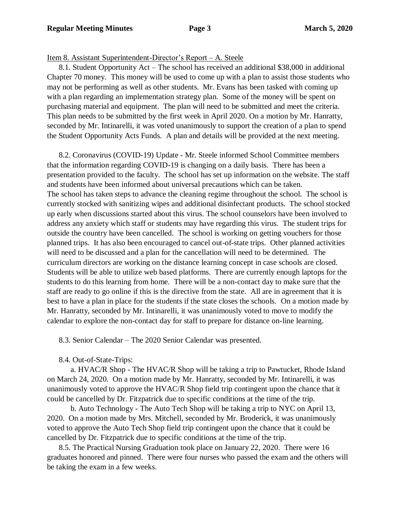### Item 8. Assistant Superintendent-Director's Report – A. Steele

8.1. Student Opportunity Act – The school has received an additional \$38,000 in additional Chapter 70 money. This money will be used to come up with a plan to assist those students who may not be performing as well as other students. Mr. Evans has been tasked with coming up with a plan regarding an implementation strategy plan. Some of the money will be spent on purchasing material and equipment. The plan will need to be submitted and meet the criteria. This plan needs to be submitted by the first week in April 2020. On a motion by Mr. Hanratty, seconded by Mr. Intinarelli, it was voted unanimously to support the creation of a plan to spend the Student Opportunity Acts Funds. A plan and details will be provided at the next meeting.

8.2. Coronavirus (COVID-19) Update - Mr. Steele informed School Committee members that the information regarding COVID-19 is changing on a daily basis. There has been a presentation provided to the faculty. The school has set up information on the website. The staff and students have been informed about universal precautions which can be taken. The school has taken steps to advance the cleaning regime throughout the school. The school is currently stocked with sanitizing wipes and additional disinfectant products. The school stocked up early when discussions started about this virus. The school counselors have been involved to address any anxiety which staff or students may have regarding this virus. The student trips for outside the country have been cancelled. The school is working on getting vouchers for those planned trips. It has also been encouraged to cancel out-of-state trips. Other planned activities will need to be discussed and a plan for the cancellation will need to be determined. The curriculum directors are working on the distance learning concept in case schools are closed. Students will be able to utilize web based platforms. There are currently enough laptops for the students to do this learning from home. There will be a non-contact day to make sure that the staff are ready to go online if this is the directive from the state. All are in agreement that it is best to have a plan in place for the students if the state closes the schools. On a motion made by Mr. Hanratty, seconded by Mr. Intinarelli, it was unanimously voted to move to modify the calendar to explore the non-contact day for staff to prepare for distance on-line learning.

8.3. Senior Calendar – The 2020 Senior Calendar was presented.

8.4. Out-of-State-Trips:

a. HVAC/R Shop - The HVAC/R Shop will be taking a trip to Pawtucket, Rhode Island on March 24, 2020. On a motion made by Mr. Hanratty, seconded by Mr. Intinarelli, it was unanimously voted to approve the HVAC/R Shop field trip contingent upon the chance that it could be cancelled by Dr. Fitzpatrick due to specific conditions at the time of the trip.

b. Auto Technology - The Auto Tech Shop will be taking a trip to NYC on April 13, 2020. On a motion made by Mrs. Mitchell, seconded by Mr. Broderick, it was unanimously voted to approve the Auto Tech Shop field trip contingent upon the chance that it could be cancelled by Dr. Fitzpatrick due to specific conditions at the time of the trip.

8.5. The Practical Nursing Graduation took place on January 22, 2020. There were 16 graduates honored and pinned. There were four nurses who passed the exam and the others will be taking the exam in a few weeks.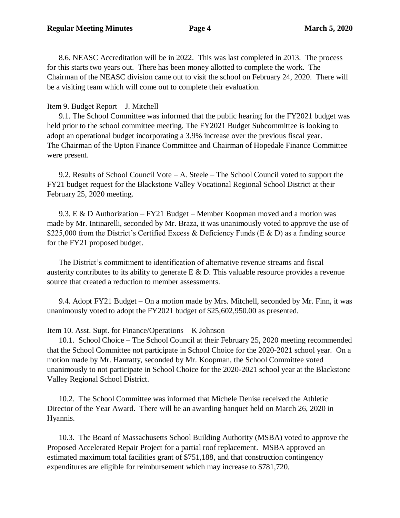8.6. NEASC Accreditation will be in 2022. This was last completed in 2013. The process for this starts two years out. There has been money allotted to complete the work. The Chairman of the NEASC division came out to visit the school on February 24, 2020. There will be a visiting team which will come out to complete their evaluation.

### Item 9. Budget Report – J. Mitchell

9.1. The School Committee was informed that the public hearing for the FY2021 budget was held prior to the school committee meeting. The FY2021 Budget Subcommittee is looking to adopt an operational budget incorporating a 3.9% increase over the previous fiscal year. The Chairman of the Upton Finance Committee and Chairman of Hopedale Finance Committee were present.

9.2. Results of School Council Vote – A. Steele – The School Council voted to support the FY21 budget request for the Blackstone Valley Vocational Regional School District at their February 25, 2020 meeting.

9.3. E & D Authorization – FY21 Budget – Member Koopman moved and a motion was made by Mr. Intinarelli, seconded by Mr. Braza, it was unanimously voted to approve the use of \$225,000 from the District's Certified Excess & Deficiency Funds (E & D) as a funding source for the FY21 proposed budget.

The District's commitment to identification of alternative revenue streams and fiscal austerity contributes to its ability to generate  $E \& D$ . This valuable resource provides a revenue source that created a reduction to member assessments.

9.4. Adopt FY21 Budget – On a motion made by Mrs. Mitchell, seconded by Mr. Finn, it was unanimously voted to adopt the FY2021 budget of \$25,602,950.00 as presented.

### Item 10. Asst. Supt. for Finance/Operations – K Johnson

10.1. School Choice – The School Council at their February 25, 2020 meeting recommended that the School Committee not participate in School Choice for the 2020-2021 school year. On a motion made by Mr. Hanratty, seconded by Mr. Koopman, the School Committee voted unanimously to not participate in School Choice for the 2020-2021 school year at the Blackstone Valley Regional School District.

10.2. The School Committee was informed that Michele Denise received the Athletic Director of the Year Award. There will be an awarding banquet held on March 26, 2020 in Hyannis.

10.3. The Board of Massachusetts School Building Authority (MSBA) voted to approve the Proposed Accelerated Repair Project for a partial roof replacement. MSBA approved an estimated maximum total facilities grant of \$751,188, and that construction contingency expenditures are eligible for reimbursement which may increase to \$781,720.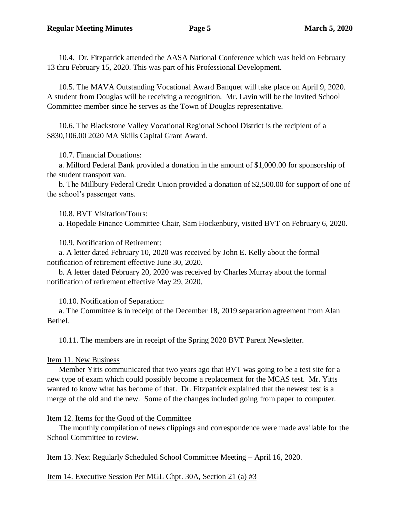10.4. Dr. Fitzpatrick attended the AASA National Conference which was held on February 13 thru February 15, 2020. This was part of his Professional Development.

10.5. The MAVA Outstanding Vocational Award Banquet will take place on April 9, 2020. A student from Douglas will be receiving a recognition. Mr. Lavin will be the invited School Committee member since he serves as the Town of Douglas representative.

10.6. The Blackstone Valley Vocational Regional School District is the recipient of a \$830,106.00 2020 MA Skills Capital Grant Award.

10.7. Financial Donations:

a. Milford Federal Bank provided a donation in the amount of \$1,000.00 for sponsorship of the student transport van.

b. The Millbury Federal Credit Union provided a donation of \$2,500.00 for support of one of the school's passenger vans.

10.8. BVT Visitation/Tours:

a. Hopedale Finance Committee Chair, Sam Hockenbury, visited BVT on February 6, 2020.

10.9. Notification of Retirement:

a. A letter dated February 10, 2020 was received by John E. Kelly about the formal notification of retirement effective June 30, 2020.

b. A letter dated February 20, 2020 was received by Charles Murray about the formal notification of retirement effective May 29, 2020.

10.10. Notification of Separation:

a. The Committee is in receipt of the December 18, 2019 separation agreement from Alan Bethel.

10.11. The members are in receipt of the Spring 2020 BVT Parent Newsletter.

## Item 11. New Business

Member Yitts communicated that two years ago that BVT was going to be a test site for a new type of exam which could possibly become a replacement for the MCAS test. Mr. Yitts wanted to know what has become of that. Dr. Fitzpatrick explained that the newest test is a merge of the old and the new. Some of the changes included going from paper to computer.

# Item 12. Items for the Good of the Committee

The monthly compilation of news clippings and correspondence were made available for the School Committee to review.

Item 13. Next Regularly Scheduled School Committee Meeting – April 16, 2020.

Item 14. Executive Session Per MGL Chpt. 30A, Section 21 (a) #3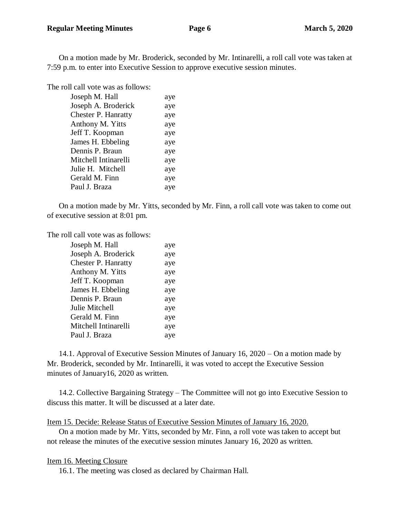On a motion made by Mr. Broderick, seconded by Mr. Intinarelli, a roll call vote was taken at 7:59 p.m. to enter into Executive Session to approve executive session minutes.

The roll call vote was as follows:

| Joseph M. Hall             | aye |
|----------------------------|-----|
| Joseph A. Broderick        | aye |
| <b>Chester P. Hanratty</b> | aye |
| Anthony M. Yitts           | aye |
| Jeff T. Koopman            | aye |
| James H. Ebbeling          | aye |
| Dennis P. Braun            | aye |
| Mitchell Intinarelli       | aye |
| Julie H. Mitchell          | aye |
| Gerald M. Finn             | aye |
| Paul J. Braza              | aye |
|                            |     |

On a motion made by Mr. Yitts, seconded by Mr. Finn, a roll call vote was taken to come out of executive session at 8:01 pm.

The roll call vote was as follows:

| Joseph M. Hall             | aye |
|----------------------------|-----|
| Joseph A. Broderick        | aye |
| <b>Chester P. Hanratty</b> | aye |
| Anthony M. Yitts           | aye |
| Jeff T. Koopman            | aye |
| James H. Ebbeling          | aye |
| Dennis P. Braun            | aye |
| Julie Mitchell             | aye |
| Gerald M. Finn             | aye |
| Mitchell Intinarelli       | aye |
| Paul J. Braza              | aye |
|                            |     |

14.1. Approval of Executive Session Minutes of January 16, 2020 – On a motion made by Mr. Broderick, seconded by Mr. Intinarelli, it was voted to accept the Executive Session minutes of January16, 2020 as written.

14.2. Collective Bargaining Strategy – The Committee will not go into Executive Session to discuss this matter. It will be discussed at a later date.

Item 15. Decide: Release Status of Executive Session Minutes of January 16, 2020.

On a motion made by Mr. Yitts, seconded by Mr. Finn, a roll vote was taken to accept but not release the minutes of the executive session minutes January 16, 2020 as written.

### Item 16. Meeting Closure

16.1. The meeting was closed as declared by Chairman Hall.